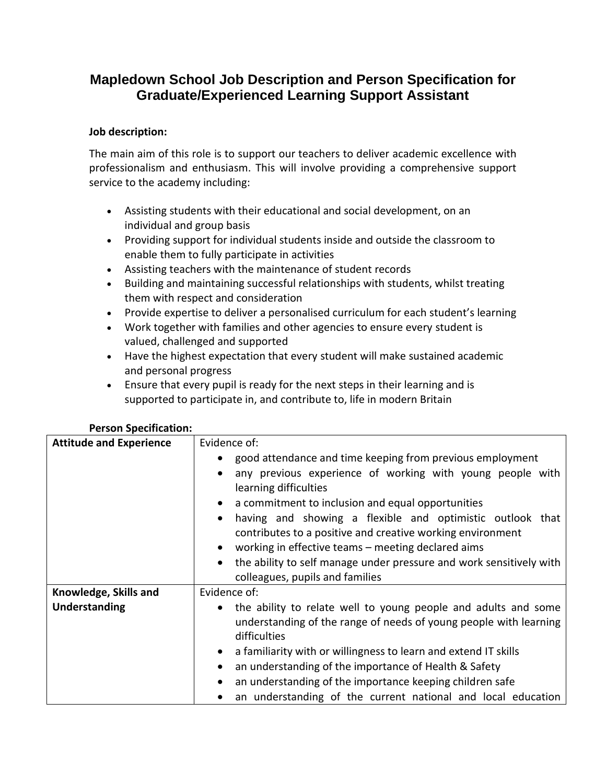## **Mapledown School Job Description and Person Specification for Graduate/Experienced Learning Support Assistant**

## **Job description:**

The main aim of this role is to support our teachers to deliver academic excellence with professionalism and enthusiasm. This will involve providing a comprehensive support service to the academy including:

- Assisting students with their educational and social development, on an individual and group basis
- Providing support for individual students inside and outside the classroom to enable them to fully participate in activities
- Assisting teachers with the maintenance of student records
- Building and maintaining successful relationships with students, whilst treating them with respect and consideration
- Provide expertise to deliver a personalised curriculum for each student's learning
- Work together with families and other agencies to ensure every student is valued, challenged and supported
- Have the highest expectation that every student will make sustained academic and personal progress
- Ensure that every pupil is ready for the next steps in their learning and is supported to participate in, and contribute to, life in modern Britain

| <b>Attitude and Experience</b> | Evidence of:<br>good attendance and time keeping from previous employment<br>any previous experience of working with young people with<br>learning difficulties<br>a commitment to inclusion and equal opportunities<br>having and showing a flexible and optimistic outlook that<br>contributes to a positive and creative working environment |
|--------------------------------|-------------------------------------------------------------------------------------------------------------------------------------------------------------------------------------------------------------------------------------------------------------------------------------------------------------------------------------------------|
|                                | working in effective teams – meeting declared aims<br>the ability to self manage under pressure and work sensitively with<br>colleagues, pupils and families                                                                                                                                                                                    |
| Knowledge, Skills and          | Evidence of:                                                                                                                                                                                                                                                                                                                                    |
| Understanding                  | the ability to relate well to young people and adults and some<br>understanding of the range of needs of young people with learning<br>difficulties                                                                                                                                                                                             |
|                                | a familiarity with or willingness to learn and extend IT skills<br>$\bullet$                                                                                                                                                                                                                                                                    |
|                                | an understanding of the importance of Health & Safety                                                                                                                                                                                                                                                                                           |
|                                | an understanding of the importance keeping children safe                                                                                                                                                                                                                                                                                        |
|                                | an understanding of the current national and local education                                                                                                                                                                                                                                                                                    |

## **Person Specification:**